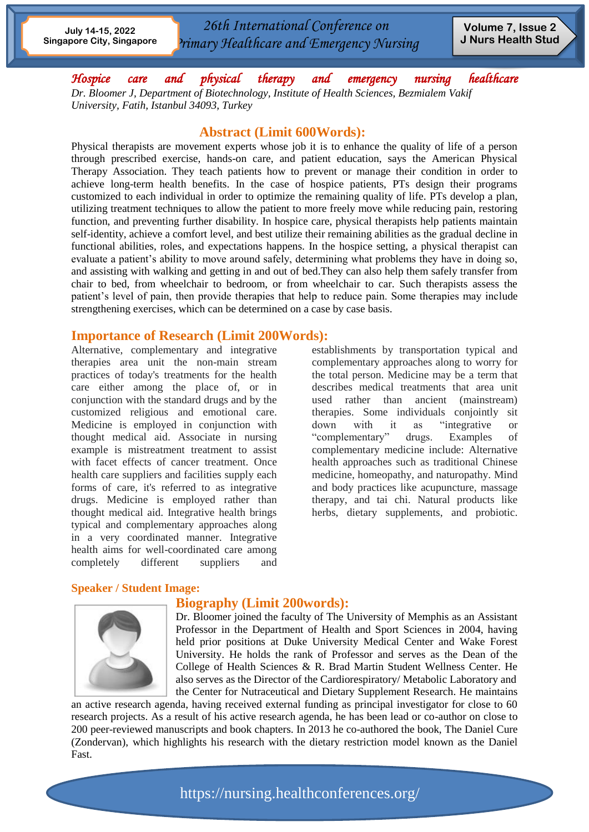*26th International Conference on Primary Healthcare and Emergency Nursing*

*Hospice care and physical therapy and emergency nursing healthcare Dr. Bloomer J, Department of Biotechnology, Institute of Health Sciences, Bezmialem Vakif University, Fatih, Istanbul 34093, Turkey*

### **Abstract (Limit 600Words):**

Physical therapists are movement experts whose job it is to enhance the quality of life of a person through prescribed exercise, hands-on care, and patient education, says the American Physical Therapy Association. They teach patients how to prevent or manage their condition in order to achieve long-term health benefits. In the case of hospice patients, PTs design their programs customized to each individual in order to optimize the remaining quality of life. PTs develop a plan, utilizing treatment techniques to allow the patient to more freely move while reducing pain, restoring function, and preventing further disability. In hospice care, physical therapists help patients maintain self-identity, achieve a comfort level, and best utilize their remaining abilities as the gradual decline in functional abilities, roles, and expectations happens. In the hospice setting, a physical therapist can evaluate a patient's ability to move around safely, determining what problems they have in doing so, and assisting with walking and getting in and out of bed.They can also help them safely transfer from chair to bed, from wheelchair to bedroom, or from wheelchair to car. Such therapists assess the patient's level of pain, then provide therapies that help to reduce pain. Some therapies may include strengthening exercises, which can be determined on a case by case basis.

### **Importance of Research (Limit 200Words):**

Alternative, complementary and integrative therapies area unit the non-main stream practices of today's treatments for the health care either among the place of, or in conjunction with the standard drugs and by the customized religious and emotional care. Medicine is employed in conjunction with thought medical aid. Associate in nursing example is mistreatment treatment to assist with facet effects of cancer treatment. Once health care suppliers and facilities supply each forms of care, it's referred to as integrative drugs. Medicine is employed rather than thought medical aid. Integrative health brings typical and complementary approaches along in a very coordinated manner. Integrative health aims for well-coordinated care among completely different suppliers and

establishments by transportation typical and complementary approaches along to worry for the total person. Medicine may be a term that describes medical treatments that area unit used rather than ancient (mainstream) therapies. Some individuals conjointly sit down with it as "integrative or "complementary" drugs. Examples of complementary medicine include: Alternative health approaches such as traditional Chinese medicine, homeopathy, and naturopathy. Mind and body practices like acupuncture, massage therapy, and tai chi. Natural products like herbs, dietary supplements, and probiotic.

### **Speaker / Student Image:**

### **Biography (Limit 200words):**



Dr. Bloomer joined the faculty of The University of Memphis as an Assistant Professor in the Department of Health and Sport Sciences in 2004, having held prior positions at Duke University Medical Center and Wake Forest University. He holds the rank of Professor and serves as the Dean of the College of Health Sciences & R. Brad Martin Student Wellness Center. He also serves as the Director of the Cardiorespiratory/ Metabolic Laboratory and the Center for Nutraceutical and Dietary Supplement Research. He maintains

an active research agenda, having received external funding as principal investigator for close to 60 research projects. As a result of his active research agenda, he has been lead or co-author on close to 200 peer-reviewed manuscripts and book chapters. In 2013 he co-authored the book, The Daniel Cure (Zondervan), which highlights his research with the dietary restriction model known as the Daniel Fast.